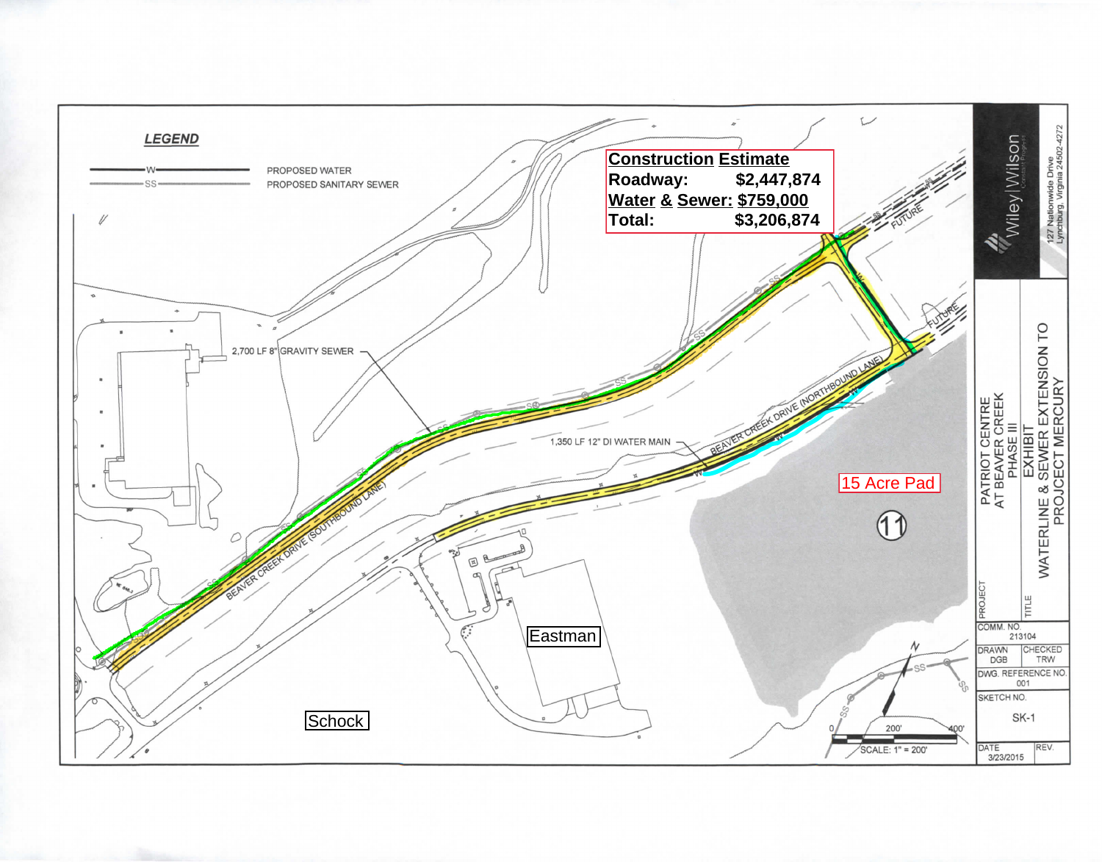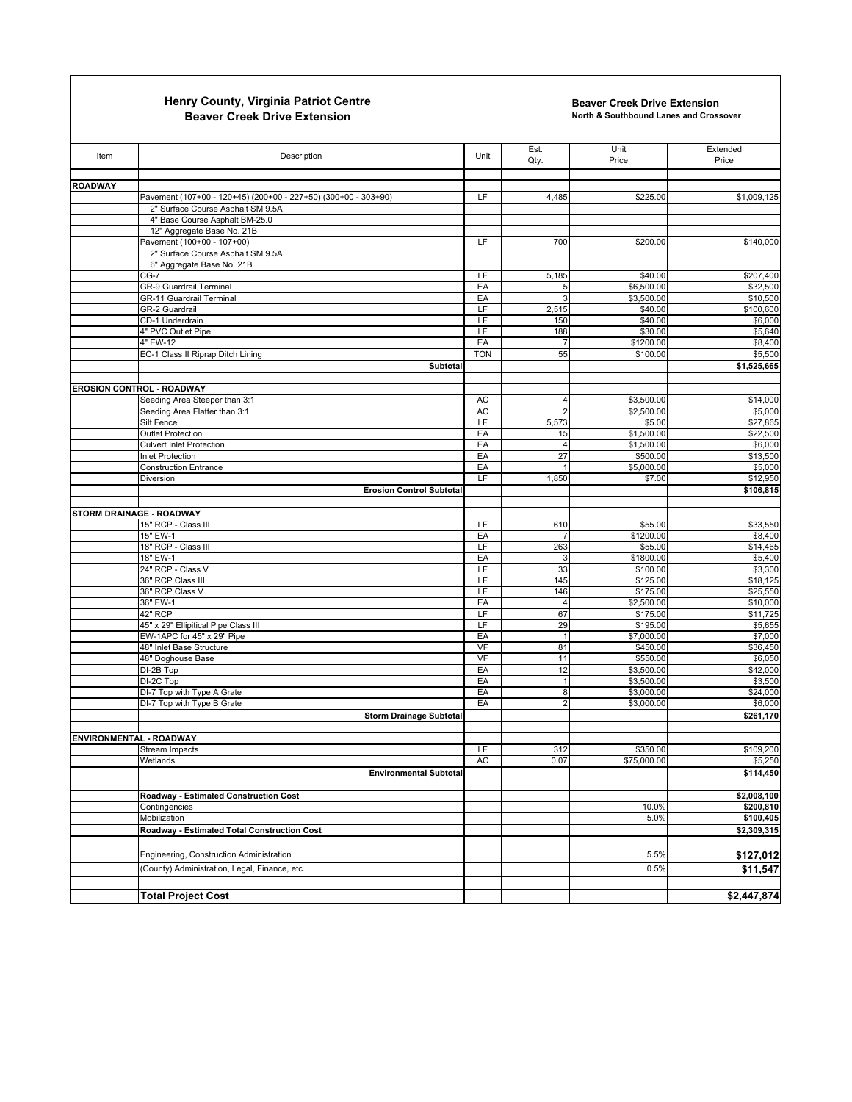## **Henry County, Virginia Patriot Centre Beaver Creek Drive Extension**

**Beaver Creek Drive Extension**

**North & Southbound Lanes and Crossover**

| Item                             | Description                                                        | Unit       | Est.<br>Qty.         | Unit<br>Price          | Extended<br>Price      |
|----------------------------------|--------------------------------------------------------------------|------------|----------------------|------------------------|------------------------|
| <b>ROADWAY</b>                   |                                                                    |            |                      |                        |                        |
|                                  | Pavement (107+00 - 120+45) (200+00 - 227+50) (300+00 - 303+90)     | LF         | 4,485                | \$225.00               | \$1,009,125            |
|                                  | 2" Surface Course Asphalt SM 9.5A                                  |            |                      |                        |                        |
|                                  | 4" Base Course Asphalt BM-25.0                                     |            |                      |                        |                        |
|                                  | 12" Aggregate Base No. 21B<br>Pavement (100+00 - 107+00)           | LF         | 700                  |                        |                        |
|                                  | 2" Surface Course Asphalt SM 9.5A                                  |            |                      | \$200.00               | \$140,000              |
|                                  | 6" Aggregate Base No. 21B                                          |            |                      |                        |                        |
|                                  | $CG-7$                                                             | LF         | 5,185                | \$40.00                | \$207,400              |
|                                  | GR-9 Guardrail Terminal                                            | EA         | 5                    | \$6,500.00             | \$32,500               |
|                                  | <b>GR-11 Guardrail Terminal</b>                                    | EA         |                      | \$3,500.00             | \$10,500               |
|                                  | GR-2 Guardrail                                                     | LF         | 2,515                | \$40.00                | \$100,600              |
|                                  | CD-1 Underdrain                                                    | LF         | 150                  | \$40.00                | \$6,000                |
|                                  | 4" PVC Outlet Pipe<br>4" EW-12                                     | LF<br>EA   | 188                  | \$30.00                | \$5,640                |
|                                  | EC-1 Class II Riprap Ditch Lining                                  | <b>TON</b> | 55                   | \$1200.00<br>\$100.00  | \$8,400<br>\$5,500     |
|                                  | Subtotal                                                           |            |                      |                        | \$1,525,665            |
|                                  |                                                                    |            |                      |                        |                        |
| <b>EROSION CONTROL - ROADWAY</b> |                                                                    |            |                      |                        |                        |
|                                  | Seeding Area Steeper than 3:1                                      | AC         |                      | \$3,500.00             | \$14,000               |
|                                  | Seeding Area Flatter than 3:1                                      | AC         |                      | \$2,500.00             | \$5,000                |
|                                  | Silt Fence                                                         | LF         | 5,573                | \$5.00                 | \$27,865               |
|                                  | <b>Outlet Protection</b>                                           | EA         | 15<br>$\Delta$       | \$1,500.00             | \$22,500               |
|                                  | <b>Culvert Inlet Protection</b><br>Inlet Protection                | EA<br>EA   | 27                   | \$1,500.00<br>\$500.00 | \$6,000<br>\$13,500    |
|                                  | <b>Construction Entrance</b>                                       | EA         |                      | \$5,000.00             | \$5,000                |
|                                  | Diversion                                                          | LF         | 1,850                | \$7.00                 | \$12,950               |
|                                  | <b>Erosion Control Subtotal</b>                                    |            |                      |                        | \$106,815              |
|                                  |                                                                    |            |                      |                        |                        |
| STORM DRAINAGE - ROADWAY         |                                                                    |            |                      |                        |                        |
|                                  | 15" RCP - Class III                                                | LF         | 610                  | \$55.00                | \$33,550               |
|                                  | 15" EW-1<br>18" RCP - Class III                                    | EA<br>LF   | 263                  | \$1200.00<br>\$55.00   | \$8,400<br>\$14,465    |
|                                  | 18" EW-1                                                           | EA         |                      | \$1800.00              | \$5,400                |
|                                  | 24" RCP - Class V                                                  | LF         | 33                   | \$100.00               | \$3,300                |
|                                  | 36" RCP Class III                                                  | LF         | 145                  | \$125.00               | \$18,125               |
|                                  | 36" RCP Class V                                                    | LF         | 146                  | \$175.00               | \$25,550               |
|                                  | 36" EW-1                                                           | EA         | $\overline{4}$       | \$2,500.00             | \$10,000               |
|                                  | 42" RCP                                                            | LF         | 67                   | \$175.00               | \$11,725               |
|                                  | 45" x 29" Ellipitical Pipe Class III<br>EW-1APC for 45" x 29" Pipe | LF<br>EA   | 29<br>$\overline{1}$ | \$195.00<br>\$7,000.00 | \$5,655<br>\$7,000     |
|                                  | 48" Inlet Base Structure                                           | VF         | 81                   | \$450.00               | \$36,450               |
|                                  | 48" Doghouse Base                                                  | VF         | 11                   | \$550.00               | \$6,050                |
|                                  | $DI-2B$ Top                                                        | EA         | 12                   | \$3,500.00             | \$42,000               |
|                                  | DI-2C Top                                                          | EA         |                      | \$3,500.00             | \$3,500                |
|                                  | DI-7 Top with Type A Grate                                         | EA         | 8                    | \$3,000.00             | \$24,000               |
|                                  | DI-7 Top with Type B Grate                                         | EA         | 2                    | \$3,000.00             | \$6,000                |
|                                  | <b>Storm Drainage Subtotal</b>                                     |            |                      |                        | \$261,170              |
| <b>ENVIRONMENTAL - ROADWAY</b>   |                                                                    |            |                      |                        |                        |
|                                  | <b>Stream Impacts</b>                                              | LF         | 312                  | \$350.00               | \$109,200              |
|                                  | Wetlands                                                           | AC         | 0.07                 | \$75,000.00            | \$5,250                |
|                                  | <b>Environmental Subtotal</b>                                      |            |                      |                        | \$114,450              |
|                                  |                                                                    |            |                      |                        |                        |
|                                  | Roadway - Estimated Construction Cost                              |            |                      |                        | \$2,008,100            |
|                                  | Contingencies<br>Mobilization                                      |            |                      | 10.0%<br>5.0%          | \$200,810<br>\$100,405 |
|                                  | Roadway - Estimated Total Construction Cost                        |            |                      |                        | \$2,309,315            |
|                                  |                                                                    |            |                      |                        |                        |
|                                  | Engineering, Construction Administration                           |            |                      | 5.5%                   | \$127,012              |
|                                  | (County) Administration, Legal, Finance, etc.                      |            |                      | 0.5%                   | \$11,547               |
|                                  |                                                                    |            |                      |                        |                        |
|                                  | <b>Total Project Cost</b>                                          |            |                      |                        | \$2,447,874            |
|                                  |                                                                    |            |                      |                        |                        |